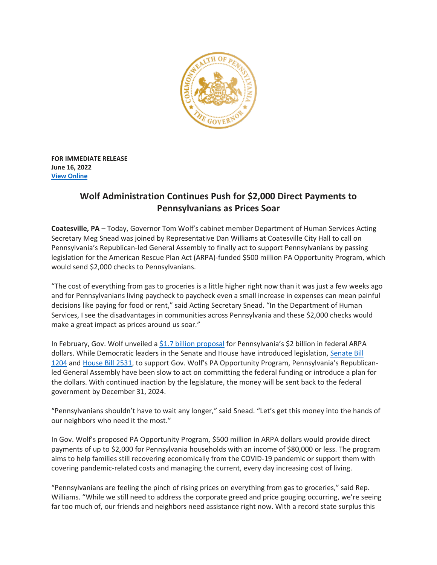

**FOR IMMEDIATE RELEASE June 16, 2022 View [Online](https://www.governor.pa.gov/newsroom/wolf-administration-continues-push-for-2000-direct-payments-to-pennsylvanians-as-prices-soar/)**

## **Wolf Administration Continues Push for \$2,000 Direct Payments to Pennsylvanians as Prices Soar**

**Coatesville, PA** – Today, Governor Tom Wolf's cabinet member Department of Human Services Acting Secretary Meg Snead was joined by Representative Dan Williams at Coatesville City Hall to call on Pennsylvania's Republican-led General Assembly to finally act to support Pennsylvanians by passing legislation for the American Rescue Plan Act (ARPA)-funded \$500 million PA Opportunity Program, which would send \$2,000 checks to Pennsylvanians.

"The cost of everything from gas to groceries is a little higher right now than it was just a few weeks ago and for Pennsylvanians living paycheck to paycheck even a small increase in expenses can mean painful decisions like paying for food or rent," said Acting Secretary Snead. "In the Department of Human Services, I see the disadvantages in communities across Pennsylvania and these \$2,000 checks would make a great impact as prices around us soar."

In February, Gov. Wolf unveiled a \$1.7 billion [proposal](https://www.governor.pa.gov/newsroom/gov-wolf-announces-1-7-billion-plan-to-secure-a-brighter-pennsylvania-for-generations/) for Pennsylvania's \$2 billion in federal ARPA dollars. While Democratic leaders in the Senate and House have introduced legislation, [Senate](https://www.legis.state.pa.us/cfdocs/billinfo/billinfo.cfm?syear=2021&sind=0&body=S&type=B&bn=1204) Bill [1204](https://www.legis.state.pa.us/cfdocs/billinfo/billinfo.cfm?syear=2021&sind=0&body=S&type=B&bn=1204) and [House](https://www.legis.state.pa.us/cfdocs/billInfo/billInfo.cfm?sYear=2021&body=H&type=B&bn=2531) Bill 2531, to support Gov. Wolf's PA Opportunity Program, Pennsylvania's Republicanled General Assembly have been slow to act on committing the federal funding or introduce a plan for the dollars. With continued inaction by the legislature, the money will be sent back to the federal government by December 31, 2024.

"Pennsylvanians shouldn't have to wait any longer," said Snead. "Let's get this money into the hands of our neighbors who need it the most."

In Gov. Wolf's proposed PA Opportunity Program, \$500 million in ARPA dollars would provide direct payments of up to \$2,000 for Pennsylvania households with an income of \$80,000 or less. The program aims to help families still recovering economically from the COVID-19 pandemic or support them with covering pandemic-related costs and managing the current, every day increasing cost of living.

"Pennsylvanians are feeling the pinch of rising prices on everything from gas to groceries," said Rep. Williams. "While we still need to address the corporate greed and price gouging occurring, we're seeing far too much of, our friends and neighbors need assistance right now. With a record state surplus this